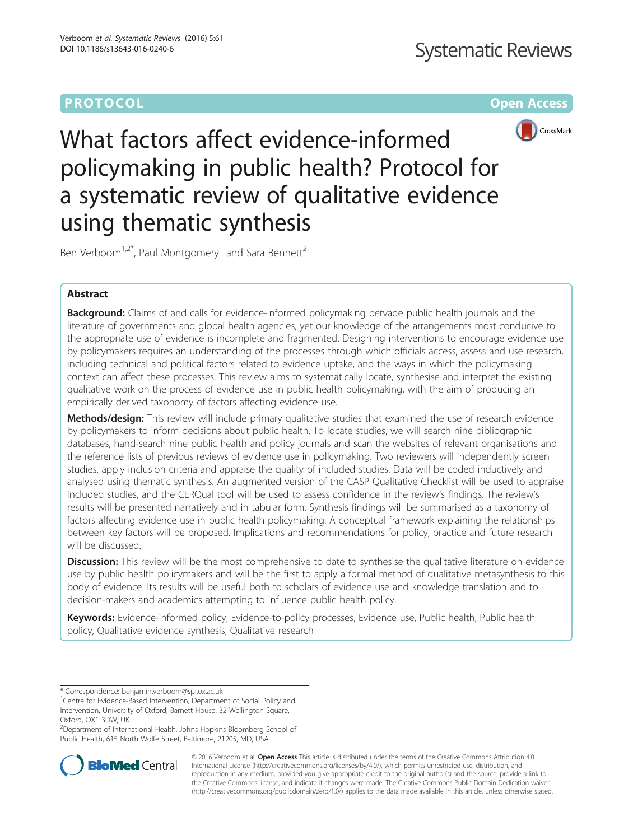# **PROTOCOL CONSUMING THE CONSUMING TEACHER CONSUMING THE CONSUMING TEACHER CONSUMING THE CONSUMING TEACHER CONSUMING**



What factors affect evidence-informed policymaking in public health? Protocol for a systematic review of qualitative evidence using thematic synthesis

Ben Verboom<sup>1,2\*</sup>, Paul Montgomery<sup>1</sup> and Sara Bennett<sup>2</sup>

## Abstract

Background: Claims of and calls for evidence-informed policymaking pervade public health journals and the literature of governments and global health agencies, yet our knowledge of the arrangements most conducive to the appropriate use of evidence is incomplete and fragmented. Designing interventions to encourage evidence use by policymakers requires an understanding of the processes through which officials access, assess and use research, including technical and political factors related to evidence uptake, and the ways in which the policymaking context can affect these processes. This review aims to systematically locate, synthesise and interpret the existing qualitative work on the process of evidence use in public health policymaking, with the aim of producing an empirically derived taxonomy of factors affecting evidence use.

Methods/design: This review will include primary qualitative studies that examined the use of research evidence by policymakers to inform decisions about public health. To locate studies, we will search nine bibliographic databases, hand-search nine public health and policy journals and scan the websites of relevant organisations and the reference lists of previous reviews of evidence use in policymaking. Two reviewers will independently screen studies, apply inclusion criteria and appraise the quality of included studies. Data will be coded inductively and analysed using thematic synthesis. An augmented version of the CASP Qualitative Checklist will be used to appraise included studies, and the CERQual tool will be used to assess confidence in the review's findings. The review's results will be presented narratively and in tabular form. Synthesis findings will be summarised as a taxonomy of factors affecting evidence use in public health policymaking. A conceptual framework explaining the relationships between key factors will be proposed. Implications and recommendations for policy, practice and future research will be discussed.

Discussion: This review will be the most comprehensive to date to synthesise the qualitative literature on evidence use by public health policymakers and will be the first to apply a formal method of qualitative metasynthesis to this body of evidence. Its results will be useful both to scholars of evidence use and knowledge translation and to decision-makers and academics attempting to influence public health policy.

Keywords: Evidence-informed policy, Evidence-to-policy processes, Evidence use, Public health, Public health policy, Qualitative evidence synthesis, Qualitative research

<sup>2</sup>Department of International Health, Johns Hopkins Bloomberg School of Public Health, 615 North Wolfe Street, Baltimore, 21205, MD, USA



© 2016 Verboom et al. Open Access This article is distributed under the terms of the Creative Commons Attribution 4.0 International License [\(http://creativecommons.org/licenses/by/4.0/](http://creativecommons.org/licenses/by/4.0/)), which permits unrestricted use, distribution, and reproduction in any medium, provided you give appropriate credit to the original author(s) and the source, provide a link to the Creative Commons license, and indicate if changes were made. The Creative Commons Public Domain Dedication waiver [\(http://creativecommons.org/publicdomain/zero/1.0/](http://creativecommons.org/publicdomain/zero/1.0/)) applies to the data made available in this article, unless otherwise stated.

<sup>\*</sup> Correspondence: [benjamin.verboom@spi.ox.ac.uk](mailto:benjamin.verboom@spi.ox.ac.uk) <sup>1</sup>

<sup>&</sup>lt;sup>1</sup>Centre for Evidence-Based Intervention, Department of Social Policy and Intervention, University of Oxford, Barnett House, 32 Wellington Square, Oxford, OX1 3DW, UK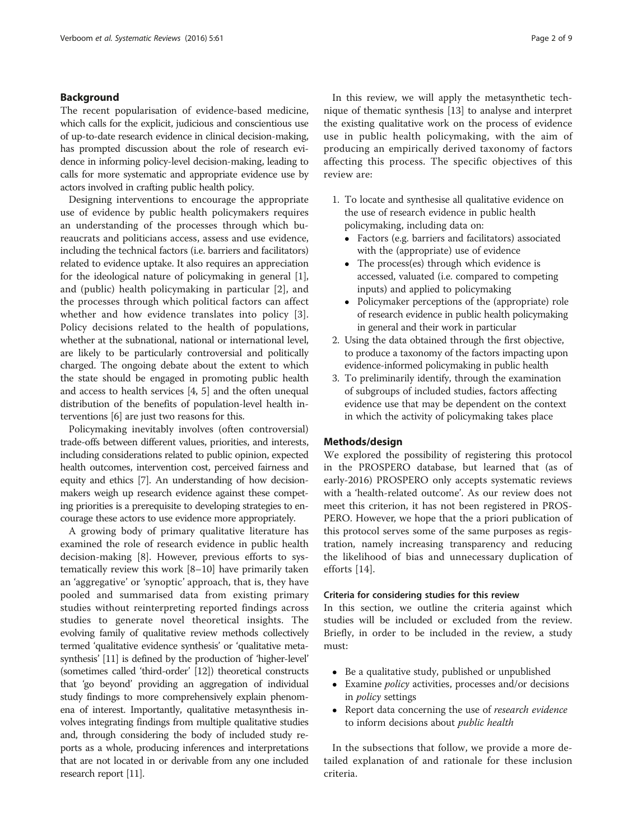## Background

The recent popularisation of evidence-based medicine, which calls for the explicit, judicious and conscientious use of up-to-date research evidence in clinical decision-making, has prompted discussion about the role of research evidence in informing policy-level decision-making, leading to calls for more systematic and appropriate evidence use by actors involved in crafting public health policy.

Designing interventions to encourage the appropriate use of evidence by public health policymakers requires an understanding of the processes through which bureaucrats and politicians access, assess and use evidence, including the technical factors (i.e. barriers and facilitators) related to evidence uptake. It also requires an appreciation for the ideological nature of policymaking in general [[1](#page-7-0)], and (public) health policymaking in particular [[2\]](#page-7-0), and the processes through which political factors can affect whether and how evidence translates into policy [[3](#page-7-0)]. Policy decisions related to the health of populations, whether at the subnational, national or international level, are likely to be particularly controversial and politically charged. The ongoing debate about the extent to which the state should be engaged in promoting public health and access to health services [\[4](#page-7-0), [5](#page-7-0)] and the often unequal distribution of the benefits of population-level health interventions [\[6](#page-7-0)] are just two reasons for this.

Policymaking inevitably involves (often controversial) trade-offs between different values, priorities, and interests, including considerations related to public opinion, expected health outcomes, intervention cost, perceived fairness and equity and ethics [[7](#page-7-0)]. An understanding of how decisionmakers weigh up research evidence against these competing priorities is a prerequisite to developing strategies to encourage these actors to use evidence more appropriately.

A growing body of primary qualitative literature has examined the role of research evidence in public health decision-making [\[8](#page-7-0)]. However, previous efforts to systematically review this work [[8](#page-7-0)–[10\]](#page-7-0) have primarily taken an 'aggregative' or 'synoptic' approach, that is, they have pooled and summarised data from existing primary studies without reinterpreting reported findings across studies to generate novel theoretical insights. The evolving family of qualitative review methods collectively termed 'qualitative evidence synthesis' or 'qualitative metasynthesis' [\[11\]](#page-8-0) is defined by the production of 'higher-level' (sometimes called 'third-order' [[12](#page-8-0)]) theoretical constructs that 'go beyond' providing an aggregation of individual study findings to more comprehensively explain phenomena of interest. Importantly, qualitative metasynthesis involves integrating findings from multiple qualitative studies and, through considering the body of included study reports as a whole, producing inferences and interpretations that are not located in or derivable from any one included research report [[11](#page-8-0)].

In this review, we will apply the metasynthetic technique of thematic synthesis [\[13\]](#page-8-0) to analyse and interpret the existing qualitative work on the process of evidence use in public health policymaking, with the aim of producing an empirically derived taxonomy of factors affecting this process. The specific objectives of this review are:

- 1. To locate and synthesise all qualitative evidence on the use of research evidence in public health policymaking, including data on:
	- Factors (e.g. barriers and facilitators) associated with the (appropriate) use of evidence
	- The process(es) through which evidence is accessed, valuated (i.e. compared to competing inputs) and applied to policymaking
	- Policymaker perceptions of the (appropriate) role of research evidence in public health policymaking in general and their work in particular
- 2. Using the data obtained through the first objective, to produce a taxonomy of the factors impacting upon evidence-informed policymaking in public health
- 3. To preliminarily identify, through the examination of subgroups of included studies, factors affecting evidence use that may be dependent on the context in which the activity of policymaking takes place

## Methods/design

We explored the possibility of registering this protocol in the PROSPERO database, but learned that (as of early-2016) PROSPERO only accepts systematic reviews with a 'health-related outcome'. As our review does not meet this criterion, it has not been registered in PROS-PERO. However, we hope that the a priori publication of this protocol serves some of the same purposes as registration, namely increasing transparency and reducing the likelihood of bias and unnecessary duplication of efforts [[14\]](#page-8-0).

## Criteria for considering studies for this review

In this section, we outline the criteria against which studies will be included or excluded from the review. Briefly, in order to be included in the review, a study must:

- Be a qualitative study, published or unpublished
- Examine *policy* activities, processes and/or decisions in policy settings
- Report data concerning the use of *research evidence* to inform decisions about public health

In the subsections that follow, we provide a more detailed explanation of and rationale for these inclusion criteria.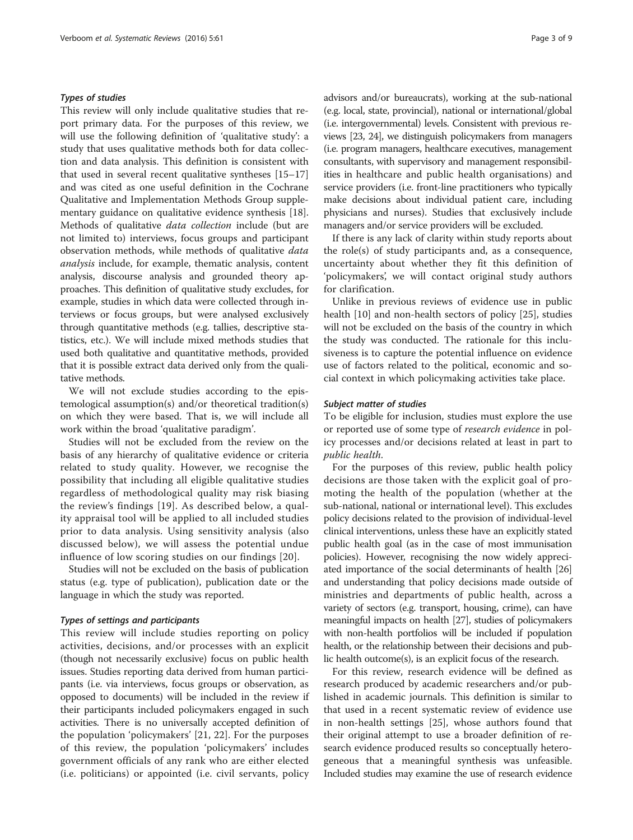## Types of studies

This review will only include qualitative studies that report primary data. For the purposes of this review, we will use the following definition of 'qualitative study': a study that uses qualitative methods both for data collection and data analysis. This definition is consistent with that used in several recent qualitative syntheses [[15](#page-8-0)–[17](#page-8-0)] and was cited as one useful definition in the Cochrane Qualitative and Implementation Methods Group supplementary guidance on qualitative evidence synthesis [\[18](#page-8-0)]. Methods of qualitative data collection include (but are not limited to) interviews, focus groups and participant observation methods, while methods of qualitative data analysis include, for example, thematic analysis, content analysis, discourse analysis and grounded theory approaches. This definition of qualitative study excludes, for example, studies in which data were collected through interviews or focus groups, but were analysed exclusively through quantitative methods (e.g. tallies, descriptive statistics, etc.). We will include mixed methods studies that used both qualitative and quantitative methods, provided that it is possible extract data derived only from the qualitative methods.

We will not exclude studies according to the epistemological assumption(s) and/or theoretical tradition(s) on which they were based. That is, we will include all work within the broad 'qualitative paradigm'.

Studies will not be excluded from the review on the basis of any hierarchy of qualitative evidence or criteria related to study quality. However, we recognise the possibility that including all eligible qualitative studies regardless of methodological quality may risk biasing the review's findings [\[19\]](#page-8-0). As described below, a quality appraisal tool will be applied to all included studies prior to data analysis. Using sensitivity analysis (also discussed below), we will assess the potential undue influence of low scoring studies on our findings [\[20](#page-8-0)].

Studies will not be excluded on the basis of publication status (e.g. type of publication), publication date or the language in which the study was reported.

## Types of settings and participants

This review will include studies reporting on policy activities, decisions, and/or processes with an explicit (though not necessarily exclusive) focus on public health issues. Studies reporting data derived from human participants (i.e. via interviews, focus groups or observation, as opposed to documents) will be included in the review if their participants included policymakers engaged in such activities. There is no universally accepted definition of the population 'policymakers' [[21](#page-8-0), [22](#page-8-0)]. For the purposes of this review, the population 'policymakers' includes government officials of any rank who are either elected (i.e. politicians) or appointed (i.e. civil servants, policy

advisors and/or bureaucrats), working at the sub-national (e.g. local, state, provincial), national or international/global (i.e. intergovernmental) levels. Consistent with previous reviews [\[23, 24](#page-8-0)], we distinguish policymakers from managers (i.e. program managers, healthcare executives, management consultants, with supervisory and management responsibilities in healthcare and public health organisations) and service providers (i.e. front-line practitioners who typically make decisions about individual patient care, including physicians and nurses). Studies that exclusively include managers and/or service providers will be excluded.

If there is any lack of clarity within study reports about the role(s) of study participants and, as a consequence, uncertainty about whether they fit this definition of 'policymakers', we will contact original study authors for clarification.

Unlike in previous reviews of evidence use in public health [\[10](#page-7-0)] and non-health sectors of policy [\[25\]](#page-8-0), studies will not be excluded on the basis of the country in which the study was conducted. The rationale for this inclusiveness is to capture the potential influence on evidence use of factors related to the political, economic and social context in which policymaking activities take place.

## Subject matter of studies

To be eligible for inclusion, studies must explore the use or reported use of some type of research evidence in policy processes and/or decisions related at least in part to public health.

For the purposes of this review, public health policy decisions are those taken with the explicit goal of promoting the health of the population (whether at the sub-national, national or international level). This excludes policy decisions related to the provision of individual-level clinical interventions, unless these have an explicitly stated public health goal (as in the case of most immunisation policies). However, recognising the now widely appreciated importance of the social determinants of health [[26](#page-8-0)] and understanding that policy decisions made outside of ministries and departments of public health, across a variety of sectors (e.g. transport, housing, crime), can have meaningful impacts on health [[27](#page-8-0)], studies of policymakers with non-health portfolios will be included if population health, or the relationship between their decisions and public health outcome(s), is an explicit focus of the research.

For this review, research evidence will be defined as research produced by academic researchers and/or published in academic journals. This definition is similar to that used in a recent systematic review of evidence use in non-health settings [[25\]](#page-8-0), whose authors found that their original attempt to use a broader definition of research evidence produced results so conceptually heterogeneous that a meaningful synthesis was unfeasible. Included studies may examine the use of research evidence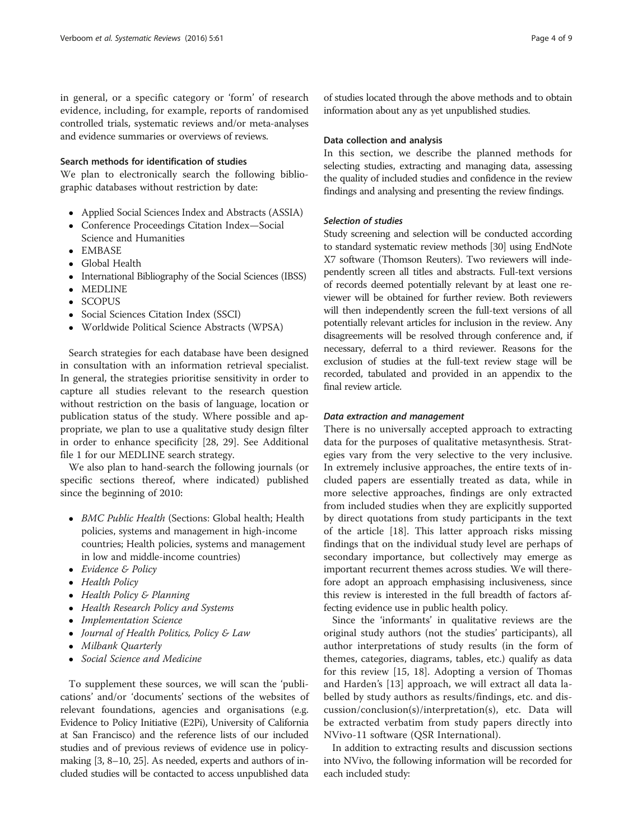in general, or a specific category or 'form' of research evidence, including, for example, reports of randomised controlled trials, systematic reviews and/or meta-analyses and evidence summaries or overviews of reviews.

## Search methods for identification of studies

We plan to electronically search the following bibliographic databases without restriction by date:

- Applied Social Sciences Index and Abstracts (ASSIA)
- Conference Proceedings Citation Index—Social Science and Humanities
- · EMBASE
- Global Health
- International Bibliography of the Social Sciences (IBSS)
- MEDLINE
- SCOPUS
- Social Sciences Citation Index (SSCI)
- Worldwide Political Science Abstracts (WPSA)

Search strategies for each database have been designed in consultation with an information retrieval specialist. In general, the strategies prioritise sensitivity in order to capture all studies relevant to the research question without restriction on the basis of language, location or publication status of the study. Where possible and appropriate, we plan to use a qualitative study design filter in order to enhance specificity [[28, 29\]](#page-8-0). See Additional file [1](#page-7-0) for our MEDLINE search strategy.

We also plan to hand-search the following journals (or specific sections thereof, where indicated) published since the beginning of 2010:

- BMC Public Health (Sections: Global health; Health policies, systems and management in high-income countries; Health policies, systems and management in low and middle-income countries)
- Evidence & Policy
- Health Policy
- Health Policy & Planning
- Health Research Policy and Systems
- Implementation Science
- Journal of Health Politics, Policy & Law
- Milbank Quarterly
- Social Science and Medicine

To supplement these sources, we will scan the 'publications' and/or 'documents' sections of the websites of relevant foundations, agencies and organisations (e.g. Evidence to Policy Initiative (E2Pi), University of California at San Francisco) and the reference lists of our included studies and of previous reviews of evidence use in policymaking [\[3](#page-7-0), [8](#page-7-0)–[10,](#page-7-0) [25\]](#page-8-0). As needed, experts and authors of included studies will be contacted to access unpublished data

of studies located through the above methods and to obtain information about any as yet unpublished studies.

## Data collection and analysis

In this section, we describe the planned methods for selecting studies, extracting and managing data, assessing the quality of included studies and confidence in the review findings and analysing and presenting the review findings.

### Selection of studies

Study screening and selection will be conducted according to standard systematic review methods [\[30](#page-8-0)] using EndNote X7 software (Thomson Reuters). Two reviewers will independently screen all titles and abstracts. Full-text versions of records deemed potentially relevant by at least one reviewer will be obtained for further review. Both reviewers will then independently screen the full-text versions of all potentially relevant articles for inclusion in the review. Any disagreements will be resolved through conference and, if necessary, deferral to a third reviewer. Reasons for the exclusion of studies at the full-text review stage will be recorded, tabulated and provided in an appendix to the final review article.

## Data extraction and management

There is no universally accepted approach to extracting data for the purposes of qualitative metasynthesis. Strategies vary from the very selective to the very inclusive. In extremely inclusive approaches, the entire texts of included papers are essentially treated as data, while in more selective approaches, findings are only extracted from included studies when they are explicitly supported by direct quotations from study participants in the text of the article [[18\]](#page-8-0). This latter approach risks missing findings that on the individual study level are perhaps of secondary importance, but collectively may emerge as important recurrent themes across studies. We will therefore adopt an approach emphasising inclusiveness, since this review is interested in the full breadth of factors affecting evidence use in public health policy.

Since the 'informants' in qualitative reviews are the original study authors (not the studies' participants), all author interpretations of study results (in the form of themes, categories, diagrams, tables, etc.) qualify as data for this review [\[15](#page-8-0), [18](#page-8-0)]. Adopting a version of Thomas and Harden's [[13\]](#page-8-0) approach, we will extract all data labelled by study authors as results/findings, etc. and discussion/conclusion(s)/interpretation(s), etc. Data will be extracted verbatim from study papers directly into NVivo-11 software (QSR International).

In addition to extracting results and discussion sections into NVivo, the following information will be recorded for each included study: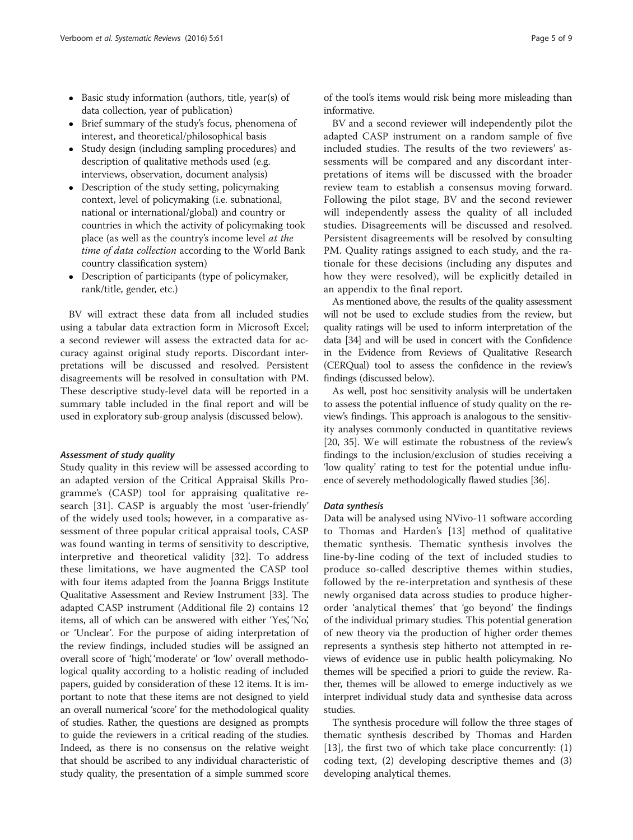- Basic study information (authors, title, year(s) of data collection, year of publication)
- Brief summary of the study's focus, phenomena of interest, and theoretical/philosophical basis
- Study design (including sampling procedures) and description of qualitative methods used (e.g. interviews, observation, document analysis)
- Description of the study setting, policymaking context, level of policymaking (i.e. subnational, national or international/global) and country or countries in which the activity of policymaking took place (as well as the country's income level at the time of data collection according to the World Bank country classification system)
- Description of participants (type of policymaker, rank/title, gender, etc.)

BV will extract these data from all included studies using a tabular data extraction form in Microsoft Excel; a second reviewer will assess the extracted data for accuracy against original study reports. Discordant interpretations will be discussed and resolved. Persistent disagreements will be resolved in consultation with PM. These descriptive study-level data will be reported in a summary table included in the final report and will be used in exploratory sub-group analysis (discussed below).

### Assessment of study quality

Study quality in this review will be assessed according to an adapted version of the Critical Appraisal Skills Programme's (CASP) tool for appraising qualitative research [[31](#page-8-0)]. CASP is arguably the most 'user-friendly' of the widely used tools; however, in a comparative assessment of three popular critical appraisal tools, CASP was found wanting in terms of sensitivity to descriptive, interpretive and theoretical validity [[32\]](#page-8-0). To address these limitations, we have augmented the CASP tool with four items adapted from the Joanna Briggs Institute Qualitative Assessment and Review Instrument [\[33\]](#page-8-0). The adapted CASP instrument (Additional file [2\)](#page-7-0) contains 12 items, all of which can be answered with either 'Yes', 'No', or 'Unclear'. For the purpose of aiding interpretation of the review findings, included studies will be assigned an overall score of 'high', 'moderate' or 'low' overall methodological quality according to a holistic reading of included papers, guided by consideration of these 12 items. It is important to note that these items are not designed to yield an overall numerical 'score' for the methodological quality of studies. Rather, the questions are designed as prompts to guide the reviewers in a critical reading of the studies. Indeed, as there is no consensus on the relative weight that should be ascribed to any individual characteristic of study quality, the presentation of a simple summed score

of the tool's items would risk being more misleading than informative.

BV and a second reviewer will independently pilot the adapted CASP instrument on a random sample of five included studies. The results of the two reviewers' assessments will be compared and any discordant interpretations of items will be discussed with the broader review team to establish a consensus moving forward. Following the pilot stage, BV and the second reviewer will independently assess the quality of all included studies. Disagreements will be discussed and resolved. Persistent disagreements will be resolved by consulting PM. Quality ratings assigned to each study, and the rationale for these decisions (including any disputes and how they were resolved), will be explicitly detailed in an appendix to the final report.

As mentioned above, the results of the quality assessment will not be used to exclude studies from the review, but quality ratings will be used to inform interpretation of the data [[34](#page-8-0)] and will be used in concert with the Confidence in the Evidence from Reviews of Qualitative Research (CERQual) tool to assess the confidence in the review's findings (discussed below).

As well, post hoc sensitivity analysis will be undertaken to assess the potential influence of study quality on the review's findings. This approach is analogous to the sensitivity analyses commonly conducted in quantitative reviews [[20](#page-8-0), [35](#page-8-0)]. We will estimate the robustness of the review's findings to the inclusion/exclusion of studies receiving a 'low quality' rating to test for the potential undue influence of severely methodologically flawed studies [\[36](#page-8-0)].

## Data synthesis

Data will be analysed using NVivo-11 software according to Thomas and Harden's [[13\]](#page-8-0) method of qualitative thematic synthesis. Thematic synthesis involves the line-by-line coding of the text of included studies to produce so-called descriptive themes within studies, followed by the re-interpretation and synthesis of these newly organised data across studies to produce higherorder 'analytical themes' that 'go beyond' the findings of the individual primary studies. This potential generation of new theory via the production of higher order themes represents a synthesis step hitherto not attempted in reviews of evidence use in public health policymaking. No themes will be specified a priori to guide the review. Rather, themes will be allowed to emerge inductively as we interpret individual study data and synthesise data across studies.

The synthesis procedure will follow the three stages of thematic synthesis described by Thomas and Harden [[13\]](#page-8-0), the first two of which take place concurrently: (1) coding text, (2) developing descriptive themes and (3) developing analytical themes.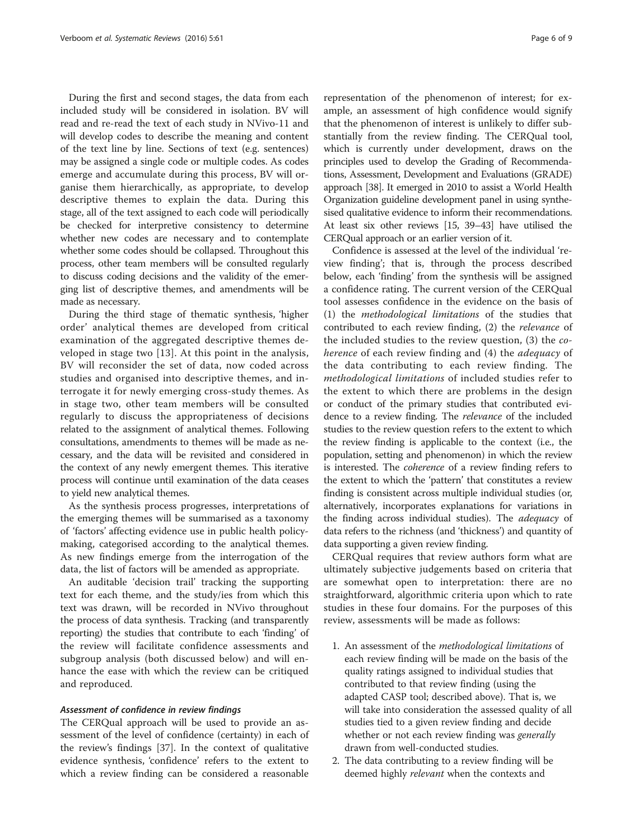During the first and second stages, the data from each included study will be considered in isolation. BV will read and re-read the text of each study in NVivo-11 and will develop codes to describe the meaning and content of the text line by line. Sections of text (e.g. sentences) may be assigned a single code or multiple codes. As codes emerge and accumulate during this process, BV will organise them hierarchically, as appropriate, to develop descriptive themes to explain the data. During this stage, all of the text assigned to each code will periodically be checked for interpretive consistency to determine whether new codes are necessary and to contemplate whether some codes should be collapsed. Throughout this process, other team members will be consulted regularly to discuss coding decisions and the validity of the emerging list of descriptive themes, and amendments will be made as necessary.

During the third stage of thematic synthesis, 'higher order' analytical themes are developed from critical examination of the aggregated descriptive themes developed in stage two [[13\]](#page-8-0). At this point in the analysis, BV will reconsider the set of data, now coded across studies and organised into descriptive themes, and interrogate it for newly emerging cross-study themes. As in stage two, other team members will be consulted regularly to discuss the appropriateness of decisions related to the assignment of analytical themes. Following consultations, amendments to themes will be made as necessary, and the data will be revisited and considered in the context of any newly emergent themes. This iterative process will continue until examination of the data ceases to yield new analytical themes.

As the synthesis process progresses, interpretations of the emerging themes will be summarised as a taxonomy of 'factors' affecting evidence use in public health policymaking, categorised according to the analytical themes. As new findings emerge from the interrogation of the data, the list of factors will be amended as appropriate.

An auditable 'decision trail' tracking the supporting text for each theme, and the study/ies from which this text was drawn, will be recorded in NVivo throughout the process of data synthesis. Tracking (and transparently reporting) the studies that contribute to each 'finding' of the review will facilitate confidence assessments and subgroup analysis (both discussed below) and will enhance the ease with which the review can be critiqued and reproduced.

### Assessment of confidence in review findings

The CERQual approach will be used to provide an assessment of the level of confidence (certainty) in each of the review's findings [\[37](#page-8-0)]. In the context of qualitative evidence synthesis, 'confidence' refers to the extent to which a review finding can be considered a reasonable

representation of the phenomenon of interest; for example, an assessment of high confidence would signify that the phenomenon of interest is unlikely to differ substantially from the review finding. The CERQual tool, which is currently under development, draws on the principles used to develop the Grading of Recommendations, Assessment, Development and Evaluations (GRADE) approach [\[38](#page-8-0)]. It emerged in 2010 to assist a World Health Organization guideline development panel in using synthesised qualitative evidence to inform their recommendations. At least six other reviews [[15](#page-8-0), [39](#page-8-0)–[43\]](#page-8-0) have utilised the CERQual approach or an earlier version of it.

Confidence is assessed at the level of the individual 'review finding'; that is, through the process described below, each 'finding' from the synthesis will be assigned a confidence rating. The current version of the CERQual tool assesses confidence in the evidence on the basis of (1) the methodological limitations of the studies that contributed to each review finding, (2) the relevance of the included studies to the review question, (3) the coherence of each review finding and (4) the *adequacy* of the data contributing to each review finding. The methodological limitations of included studies refer to the extent to which there are problems in the design or conduct of the primary studies that contributed evidence to a review finding. The relevance of the included studies to the review question refers to the extent to which the review finding is applicable to the context (i.e., the population, setting and phenomenon) in which the review is interested. The coherence of a review finding refers to the extent to which the 'pattern' that constitutes a review finding is consistent across multiple individual studies (or, alternatively, incorporates explanations for variations in the finding across individual studies). The adequacy of data refers to the richness (and 'thickness') and quantity of data supporting a given review finding.

CERQual requires that review authors form what are ultimately subjective judgements based on criteria that are somewhat open to interpretation: there are no straightforward, algorithmic criteria upon which to rate studies in these four domains. For the purposes of this review, assessments will be made as follows:

- 1. An assessment of the methodological limitations of each review finding will be made on the basis of the quality ratings assigned to individual studies that contributed to that review finding (using the adapted CASP tool; described above). That is, we will take into consideration the assessed quality of all studies tied to a given review finding and decide whether or not each review finding was *generally* drawn from well-conducted studies.
- 2. The data contributing to a review finding will be deemed highly relevant when the contexts and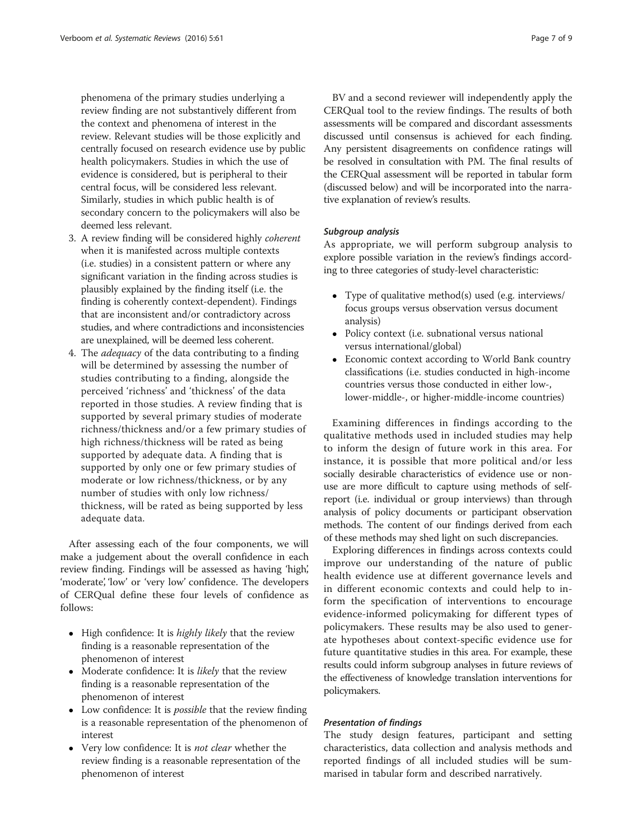phenomena of the primary studies underlying a review finding are not substantively different from the context and phenomena of interest in the review. Relevant studies will be those explicitly and centrally focused on research evidence use by public health policymakers. Studies in which the use of evidence is considered, but is peripheral to their central focus, will be considered less relevant. Similarly, studies in which public health is of secondary concern to the policymakers will also be deemed less relevant.

- 3. A review finding will be considered highly coherent when it is manifested across multiple contexts (i.e. studies) in a consistent pattern or where any significant variation in the finding across studies is plausibly explained by the finding itself (i.e. the finding is coherently context-dependent). Findings that are inconsistent and/or contradictory across studies, and where contradictions and inconsistencies are unexplained, will be deemed less coherent.
- 4. The adequacy of the data contributing to a finding will be determined by assessing the number of studies contributing to a finding, alongside the perceived 'richness' and 'thickness' of the data reported in those studies. A review finding that is supported by several primary studies of moderate richness/thickness and/or a few primary studies of high richness/thickness will be rated as being supported by adequate data. A finding that is supported by only one or few primary studies of moderate or low richness/thickness, or by any number of studies with only low richness/ thickness, will be rated as being supported by less adequate data.

After assessing each of the four components, we will make a judgement about the overall confidence in each review finding. Findings will be assessed as having 'high', 'moderate', 'low' or 'very low' confidence. The developers of CERQual define these four levels of confidence as follows:

- $\bullet$  High confidence: It is *highly likely* that the review finding is a reasonable representation of the phenomenon of interest
- Moderate confidence: It is likely that the review finding is a reasonable representation of the phenomenon of interest
- Low confidence: It is *possible* that the review finding is a reasonable representation of the phenomenon of interest
- Very low confidence: It is not clear whether the review finding is a reasonable representation of the phenomenon of interest

BV and a second reviewer will independently apply the CERQual tool to the review findings. The results of both assessments will be compared and discordant assessments discussed until consensus is achieved for each finding. Any persistent disagreements on confidence ratings will be resolved in consultation with PM. The final results of the CERQual assessment will be reported in tabular form (discussed below) and will be incorporated into the narrative explanation of review's results.

## Subgroup analysis

As appropriate, we will perform subgroup analysis to explore possible variation in the review's findings according to three categories of study-level characteristic:

- Type of qualitative method(s) used (e.g. interviews/ focus groups versus observation versus document analysis)
- Policy context (i.e. subnational versus national versus international/global)
- Economic context according to World Bank country classifications (i.e. studies conducted in high-income countries versus those conducted in either low-, lower-middle-, or higher-middle-income countries)

Examining differences in findings according to the qualitative methods used in included studies may help to inform the design of future work in this area. For instance, it is possible that more political and/or less socially desirable characteristics of evidence use or nonuse are more difficult to capture using methods of selfreport (i.e. individual or group interviews) than through analysis of policy documents or participant observation methods. The content of our findings derived from each of these methods may shed light on such discrepancies.

Exploring differences in findings across contexts could improve our understanding of the nature of public health evidence use at different governance levels and in different economic contexts and could help to inform the specification of interventions to encourage evidence-informed policymaking for different types of policymakers. These results may be also used to generate hypotheses about context-specific evidence use for future quantitative studies in this area. For example, these results could inform subgroup analyses in future reviews of the effectiveness of knowledge translation interventions for policymakers.

## Presentation of findings

The study design features, participant and setting characteristics, data collection and analysis methods and reported findings of all included studies will be summarised in tabular form and described narratively.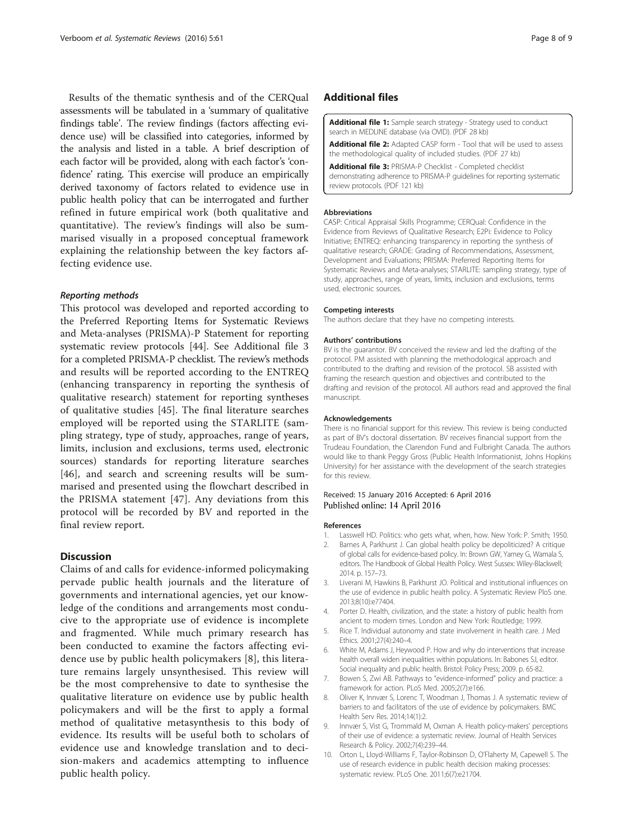<span id="page-7-0"></span>Results of the thematic synthesis and of the CERQual assessments will be tabulated in a 'summary of qualitative findings table'. The review findings (factors affecting evidence use) will be classified into categories, informed by the analysis and listed in a table. A brief description of each factor will be provided, along with each factor's 'confidence' rating. This exercise will produce an empirically derived taxonomy of factors related to evidence use in public health policy that can be interrogated and further refined in future empirical work (both qualitative and quantitative). The review's findings will also be summarised visually in a proposed conceptual framework explaining the relationship between the key factors affecting evidence use.

### Reporting methods

This protocol was developed and reported according to the Preferred Reporting Items for Systematic Reviews and Meta-analyses (PRISMA)-P Statement for reporting systematic review protocols [\[44](#page-8-0)]. See Additional file 3 for a completed PRISMA-P checklist. The review's methods and results will be reported according to the ENTREQ (enhancing transparency in reporting the synthesis of qualitative research) statement for reporting syntheses of qualitative studies [[45\]](#page-8-0). The final literature searches employed will be reported using the STARLITE (sampling strategy, type of study, approaches, range of years, limits, inclusion and exclusions, terms used, electronic sources) standards for reporting literature searches [[46\]](#page-8-0), and search and screening results will be summarised and presented using the flowchart described in the PRISMA statement [[47\]](#page-8-0). Any deviations from this protocol will be recorded by BV and reported in the final review report.

## **Discussion**

Claims of and calls for evidence-informed policymaking pervade public health journals and the literature of governments and international agencies, yet our knowledge of the conditions and arrangements most conducive to the appropriate use of evidence is incomplete and fragmented. While much primary research has been conducted to examine the factors affecting evidence use by public health policymakers [8], this literature remains largely unsynthesised. This review will be the most comprehensive to date to synthesise the qualitative literature on evidence use by public health policymakers and will be the first to apply a formal method of qualitative metasynthesis to this body of evidence. Its results will be useful both to scholars of evidence use and knowledge translation and to decision-makers and academics attempting to influence public health policy.

## Additional files

[Additional file 1:](dx.doi.org/10.1186/s13643-016-0240-6) Sample search strategy - Strategy used to conduct search in MEDLINE database (via OVID). (PDF 28 kb)

[Additional file 2:](dx.doi.org/10.1186/s13643-016-0240-6) Adapted CASP form - Tool that will be used to assess the methodological quality of included studies. (PDF 27 kb)

[Additional file 3:](dx.doi.org/10.1186/s13643-016-0240-6) PRISMA-P Checklist - Completed checklist demonstrating adherence to PRISMA-P guidelines for reporting systematic review protocols. (PDF 121 kb)

#### Abbreviations

CASP: Critical Appraisal Skills Programme; CERQual: Confidence in the Evidence from Reviews of Qualitative Research; E2Pi: Evidence to Policy Initiative; ENTREQ: enhancing transparency in reporting the synthesis of qualitative research; GRADE: Grading of Recommendations, Assessment, Development and Evaluations; PRISMA: Preferred Reporting Items for Systematic Reviews and Meta-analyses; STARLITE: sampling strategy, type of study, approaches, range of years, limits, inclusion and exclusions, terms used, electronic sources.

#### Competing interests

The authors declare that they have no competing interests.

#### Authors' contributions

BV is the guarantor. BV conceived the review and led the drafting of the protocol. PM assisted with planning the methodological approach and contributed to the drafting and revision of the protocol. SB assisted with framing the research question and objectives and contributed to the drafting and revision of the protocol. All authors read and approved the final manuscript.

#### Acknowledgements

There is no financial support for this review. This review is being conducted as part of BV's doctoral dissertation. BV receives financial support from the Trudeau Foundation, the Clarendon Fund and Fulbright Canada. The authors would like to thank Peggy Gross (Public Health Informationist, Johns Hopkins University) for her assistance with the development of the search strategies for this review.

#### Received: 15 January 2016 Accepted: 6 April 2016 Published online: 14 April 2016

#### References

- 1. Lasswell HD. Politics: who gets what, when, how. New York: P. Smith; 1950. Barnes A, Parkhurst J. Can global health policy be depoliticized? A critique
- of global calls for evidence-based policy. In: Brown GW, Yamey G, Wamala S, editors. The Handbook of Global Health Policy. West Sussex: Wiley-Blackwell; 2014. p. 157–73.
- 3. Liverani M, Hawkins B, Parkhurst JO. Political and institutional influences on the use of evidence in public health policy. A Systematic Review PloS one. 2013;8(10):e77404.
- 4. Porter D. Health, civilization, and the state: a history of public health from ancient to modern times. London and New York: Routledge; 1999.
- 5. Rice T. Individual autonomy and state involvement in health care. J Med Ethics. 2001;27(4):240–4.
- 6. White M, Adams J, Heywood P. How and why do interventions that increase health overall widen inequalities within populations. In: Babones SJ, editor. Social inequality and public health. Bristol: Policy Press; 2009. p. 65-82.
- 7. Bowen S, Zwi AB. Pathways to "evidence-informed" policy and practice: a framework for action. PLoS Med. 2005;2(7):e166.
- 8. Oliver K, Innvær S, Lorenc T, Woodman J, Thomas J. A systematic review of barriers to and facilitators of the use of evidence by policymakers. BMC Health Serv Res. 2014;14(1):2.
- 9. Innvær S, Vist G, Trommald M, Oxman A. Health policy-makers' perceptions of their use of evidence: a systematic review. Journal of Health Services Research & Policy. 2002;7(4):239–44.
- 10. Orton L, Lloyd-Williams F, Taylor-Robinson D, O'Flaherty M, Capewell S. The use of research evidence in public health decision making processes: systematic review. PLoS One. 2011;6(7):e21704.